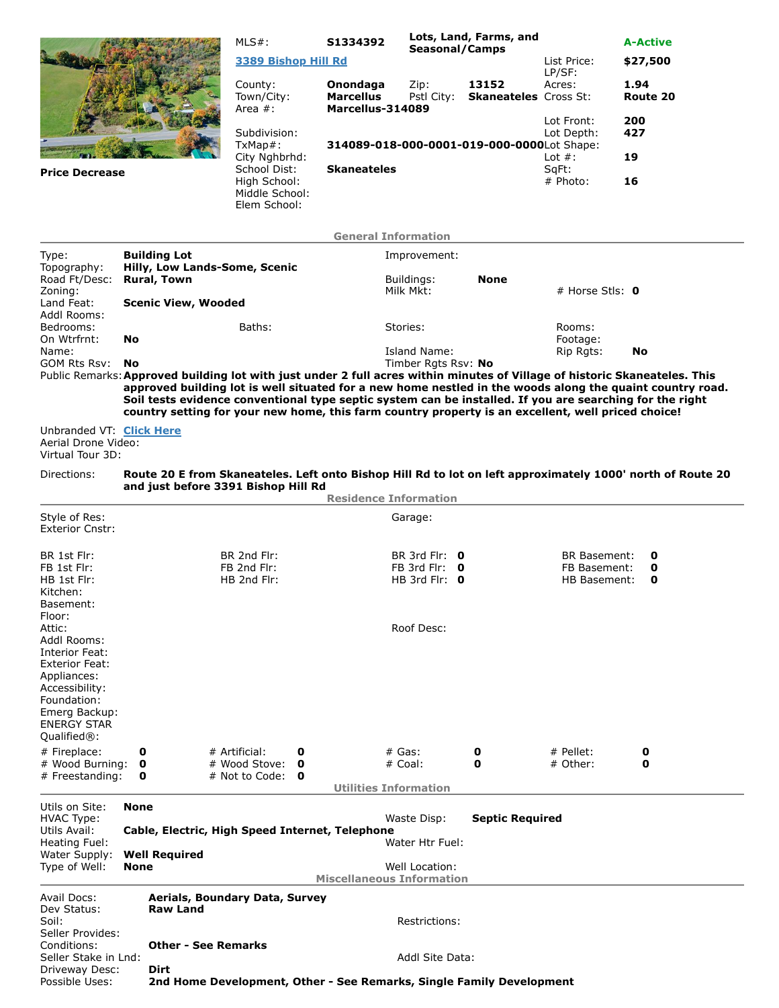|                                                                                                                                                                                                                                                                                                                                                                                                                                                           |                                                                      |                                                 | $MLS#$ :                                       | S1334392                     | Lots, Land, Farms, and                     |                                       |                                     | <b>A-Active</b>                                                                                            |  |  |  |  |
|-----------------------------------------------------------------------------------------------------------------------------------------------------------------------------------------------------------------------------------------------------------------------------------------------------------------------------------------------------------------------------------------------------------------------------------------------------------|----------------------------------------------------------------------|-------------------------------------------------|------------------------------------------------|------------------------------|--------------------------------------------|---------------------------------------|-------------------------------------|------------------------------------------------------------------------------------------------------------|--|--|--|--|
|                                                                                                                                                                                                                                                                                                                                                                                                                                                           |                                                                      |                                                 | 3389 Bishop Hill Rd                            |                              | <b>Seasonal/Camps</b>                      |                                       | List Price:                         | \$27,500                                                                                                   |  |  |  |  |
|                                                                                                                                                                                                                                                                                                                                                                                                                                                           |                                                                      |                                                 | County:<br>Town/City:                          | Onondaga<br><b>Marcellus</b> | Zip:<br>Pstl City:                         | 13152<br><b>Skaneateles</b> Cross St: | LP/SF:<br>Acres:                    | 1.94<br>Route 20                                                                                           |  |  |  |  |
|                                                                                                                                                                                                                                                                                                                                                                                                                                                           |                                                                      |                                                 | Area #:<br>Subdivision:                        | Marcellus-314089             |                                            |                                       | Lot Front:<br>Lot Depth:            | 200<br>427                                                                                                 |  |  |  |  |
|                                                                                                                                                                                                                                                                                                                                                                                                                                                           |                                                                      |                                                 | $TxMap#$ :                                     |                              | 314089-018-000-0001-019-000-0000Lot Shape: |                                       |                                     |                                                                                                            |  |  |  |  |
| <b>Price Decrease</b>                                                                                                                                                                                                                                                                                                                                                                                                                                     |                                                                      |                                                 | City Nghbrhd:<br>School Dist:                  | <b>Skaneateles</b>           |                                            |                                       | Lot $#$ :<br>SqFt:                  | 19                                                                                                         |  |  |  |  |
|                                                                                                                                                                                                                                                                                                                                                                                                                                                           |                                                                      |                                                 | High School:<br>Middle School:<br>Elem School: |                              |                                            |                                       | # Photo:                            | 16                                                                                                         |  |  |  |  |
| <b>General Information</b>                                                                                                                                                                                                                                                                                                                                                                                                                                |                                                                      |                                                 |                                                |                              |                                            |                                       |                                     |                                                                                                            |  |  |  |  |
| Type:                                                                                                                                                                                                                                                                                                                                                                                                                                                     |                                                                      | <b>Building Lot</b>                             |                                                |                              | Improvement:                               |                                       |                                     |                                                                                                            |  |  |  |  |
| Topography:<br>Road Ft/Desc:                                                                                                                                                                                                                                                                                                                                                                                                                              |                                                                      | <b>Rural, Town</b>                              | Hilly, Low Lands-Some, Scenic                  | <b>None</b><br>Buildings:    |                                            |                                       |                                     |                                                                                                            |  |  |  |  |
| Zoning:                                                                                                                                                                                                                                                                                                                                                                                                                                                   |                                                                      |                                                 |                                                |                              | Milk Mkt:                                  |                                       |                                     | # Horse Stls: $\mathbf 0$                                                                                  |  |  |  |  |
| Land Feat:<br>Addl Rooms:                                                                                                                                                                                                                                                                                                                                                                                                                                 |                                                                      | <b>Scenic View, Wooded</b>                      |                                                |                              |                                            |                                       |                                     |                                                                                                            |  |  |  |  |
| Bedrooms:<br>On Wtrfrnt:                                                                                                                                                                                                                                                                                                                                                                                                                                  | No                                                                   |                                                 | Baths:                                         |                              | Stories:                                   |                                       | Rooms:<br>Footage:                  |                                                                                                            |  |  |  |  |
| Name:                                                                                                                                                                                                                                                                                                                                                                                                                                                     |                                                                      |                                                 |                                                |                              | Island Name:                               |                                       | Rip Rgts:                           | No                                                                                                         |  |  |  |  |
| GOM Rts Rsv:                                                                                                                                                                                                                                                                                                                                                                                                                                              | No                                                                   |                                                 |                                                |                              | Timber Rats Rsv: No                        |                                       |                                     |                                                                                                            |  |  |  |  |
| Public Remarks: Approved building lot with just under 2 full acres within minutes of Village of historic Skaneateles. This<br>approved building lot is well situated for a new home nestled in the woods along the quaint country road.<br>Soil tests evidence conventional type septic system can be installed. If you are searching for the right<br>country setting for your new home, this farm country property is an excellent, well priced choice! |                                                                      |                                                 |                                                |                              |                                            |                                       |                                     |                                                                                                            |  |  |  |  |
| Unbranded VT: Click Here<br>Aerial Drone Video:<br>Virtual Tour 3D:                                                                                                                                                                                                                                                                                                                                                                                       |                                                                      |                                                 |                                                |                              |                                            |                                       |                                     |                                                                                                            |  |  |  |  |
| Directions:                                                                                                                                                                                                                                                                                                                                                                                                                                               |                                                                      |                                                 |                                                |                              |                                            |                                       |                                     | Route 20 E from Skaneateles. Left onto Bishop Hill Rd to lot on left approximately 1000' north of Route 20 |  |  |  |  |
|                                                                                                                                                                                                                                                                                                                                                                                                                                                           |                                                                      |                                                 | and just before 3391 Bishop Hill Rd            | <b>Residence Information</b> |                                            |                                       |                                     |                                                                                                            |  |  |  |  |
| Style of Res:                                                                                                                                                                                                                                                                                                                                                                                                                                             |                                                                      |                                                 |                                                |                              | Garage:                                    |                                       |                                     |                                                                                                            |  |  |  |  |
| <b>Exterior Cnstr:</b>                                                                                                                                                                                                                                                                                                                                                                                                                                    |                                                                      |                                                 |                                                |                              |                                            |                                       |                                     |                                                                                                            |  |  |  |  |
| BR 1st Flr:<br>FB 1st Flr:                                                                                                                                                                                                                                                                                                                                                                                                                                |                                                                      |                                                 | BR 2nd Flr:<br>FB 2nd Flr:                     |                              | BR 3rd Flr: 0<br>FB 3rd Flr: $\theta$      |                                       | <b>BR Basement:</b><br>FB Basement: | 0<br>0                                                                                                     |  |  |  |  |
| HB 1st Flr:                                                                                                                                                                                                                                                                                                                                                                                                                                               |                                                                      |                                                 | HB 2nd Flr:                                    |                              | HB 3rd Flr: $\theta$                       |                                       | <b>HB Basement:</b>                 | 0                                                                                                          |  |  |  |  |
| Kitchen:<br>Basement:                                                                                                                                                                                                                                                                                                                                                                                                                                     |                                                                      |                                                 |                                                |                              |                                            |                                       |                                     |                                                                                                            |  |  |  |  |
| Floor:                                                                                                                                                                                                                                                                                                                                                                                                                                                    |                                                                      |                                                 |                                                |                              |                                            |                                       |                                     |                                                                                                            |  |  |  |  |
| Attic:<br>Addl Rooms:                                                                                                                                                                                                                                                                                                                                                                                                                                     |                                                                      |                                                 |                                                |                              | Roof Desc:                                 |                                       |                                     |                                                                                                            |  |  |  |  |
| Interior Feat:<br><b>Exterior Feat:</b>                                                                                                                                                                                                                                                                                                                                                                                                                   |                                                                      |                                                 |                                                |                              |                                            |                                       |                                     |                                                                                                            |  |  |  |  |
| Appliances:                                                                                                                                                                                                                                                                                                                                                                                                                                               |                                                                      |                                                 |                                                |                              |                                            |                                       |                                     |                                                                                                            |  |  |  |  |
| Accessibility:<br>Foundation:                                                                                                                                                                                                                                                                                                                                                                                                                             |                                                                      |                                                 |                                                |                              |                                            |                                       |                                     |                                                                                                            |  |  |  |  |
| Emerg Backup:                                                                                                                                                                                                                                                                                                                                                                                                                                             |                                                                      |                                                 |                                                |                              |                                            |                                       |                                     |                                                                                                            |  |  |  |  |
| <b>ENERGY STAR</b><br>Qualified <sup>®</sup> :                                                                                                                                                                                                                                                                                                                                                                                                            |                                                                      |                                                 |                                                |                              |                                            |                                       |                                     |                                                                                                            |  |  |  |  |
| # Fireplace:                                                                                                                                                                                                                                                                                                                                                                                                                                              | 0                                                                    |                                                 | # Artificial:<br>0                             |                              | $#$ Gas:                                   | 0                                     | $#$ Pellet:                         | 0                                                                                                          |  |  |  |  |
| # Wood Burning:<br># Freestanding:                                                                                                                                                                                                                                                                                                                                                                                                                        | $\mathbf{o}$<br>0                                                    |                                                 | # Wood Stove:<br>O<br># Not to Code: $\bullet$ |                              | # Coal:                                    | 0                                     | # Other:                            | 0                                                                                                          |  |  |  |  |
|                                                                                                                                                                                                                                                                                                                                                                                                                                                           |                                                                      |                                                 |                                                | <b>Utilities Information</b> |                                            |                                       |                                     |                                                                                                            |  |  |  |  |
| Utils on Site:<br><b>HVAC Type:</b>                                                                                                                                                                                                                                                                                                                                                                                                                       | <b>None</b><br><b>Septic Required</b><br>Waste Disp:                 |                                                 |                                                |                              |                                            |                                       |                                     |                                                                                                            |  |  |  |  |
| Utils Avail:                                                                                                                                                                                                                                                                                                                                                                                                                                              |                                                                      | Cable, Electric, High Speed Internet, Telephone |                                                |                              |                                            |                                       |                                     |                                                                                                            |  |  |  |  |
| Heating Fuel:<br>Water Supply:                                                                                                                                                                                                                                                                                                                                                                                                                            |                                                                      | <b>Well Required</b>                            |                                                | Water Htr Fuel:              |                                            |                                       |                                     |                                                                                                            |  |  |  |  |
| Type of Well:                                                                                                                                                                                                                                                                                                                                                                                                                                             | Well Location:<br>None<br><b>Miscellaneous Information</b>           |                                                 |                                                |                              |                                            |                                       |                                     |                                                                                                            |  |  |  |  |
| Avail Docs:                                                                                                                                                                                                                                                                                                                                                                                                                                               |                                                                      | Aerials, Boundary Data, Survey                  |                                                |                              |                                            |                                       |                                     |                                                                                                            |  |  |  |  |
| Dev Status:                                                                                                                                                                                                                                                                                                                                                                                                                                               | <b>Raw Land</b>                                                      |                                                 |                                                |                              |                                            |                                       |                                     |                                                                                                            |  |  |  |  |
| Soil:<br>Seller Provides:                                                                                                                                                                                                                                                                                                                                                                                                                                 |                                                                      |                                                 |                                                |                              | Restrictions:                              |                                       |                                     |                                                                                                            |  |  |  |  |
| Conditions:                                                                                                                                                                                                                                                                                                                                                                                                                                               | Other - See Remarks<br>Seller Stake in Lnd:<br>Addl Site Data:       |                                                 |                                                |                              |                                            |                                       |                                     |                                                                                                            |  |  |  |  |
| Driveway Desc:<br>Dirt                                                                                                                                                                                                                                                                                                                                                                                                                                    |                                                                      |                                                 |                                                |                              |                                            |                                       |                                     |                                                                                                            |  |  |  |  |
| Possible Uses:                                                                                                                                                                                                                                                                                                                                                                                                                                            | 2nd Home Development, Other - See Remarks, Single Family Development |                                                 |                                                |                              |                                            |                                       |                                     |                                                                                                            |  |  |  |  |